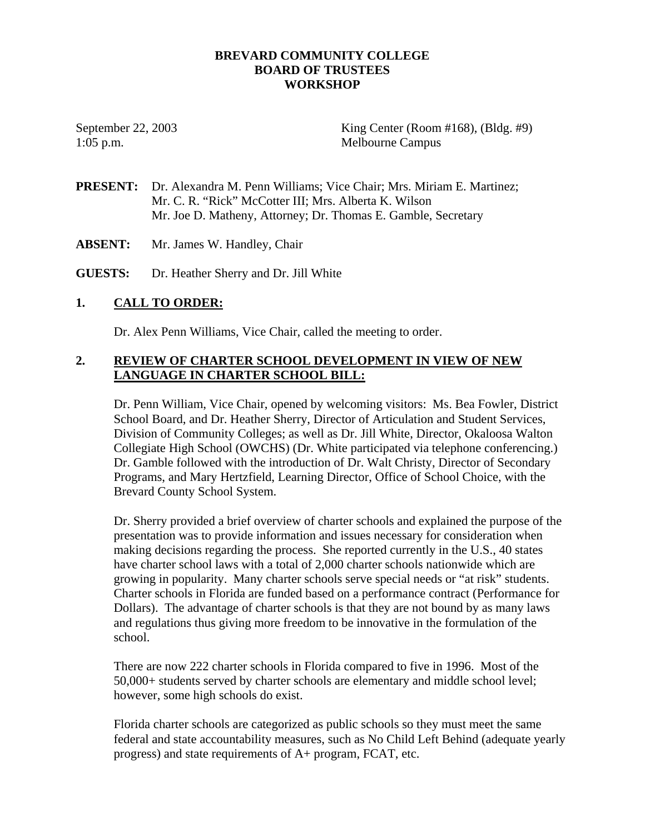## **BREVARD COMMUNITY COLLEGE BOARD OF TRUSTEES WORKSHOP**

September 22, 2003 King Center (Room #168), (Bldg. #9) 1:05 p.m. Melbourne Campus

- **PRESENT:** Dr. Alexandra M. Penn Williams; Vice Chair; Mrs. Miriam E. Martinez; Mr. C. R. "Rick" McCotter III; Mrs. Alberta K. Wilson Mr. Joe D. Matheny, Attorney; Dr. Thomas E. Gamble, Secretary
- **ABSENT:** Mr. James W. Handley, Chair

**GUESTS:** Dr. Heather Sherry and Dr. Jill White

## **1. CALL TO ORDER:**

Dr. Alex Penn Williams, Vice Chair, called the meeting to order.

## **2. REVIEW OF CHARTER SCHOOL DEVELOPMENT IN VIEW OF NEW LANGUAGE IN CHARTER SCHOOL BILL:**

Dr. Penn William, Vice Chair, opened by welcoming visitors: Ms. Bea Fowler, District School Board, and Dr. Heather Sherry, Director of Articulation and Student Services, Division of Community Colleges; as well as Dr. Jill White, Director, Okaloosa Walton Collegiate High School (OWCHS) (Dr. White participated via telephone conferencing.) Dr. Gamble followed with the introduction of Dr. Walt Christy, Director of Secondary Programs, and Mary Hertzfield, Learning Director, Office of School Choice, with the Brevard County School System.

Dr. Sherry provided a brief overview of charter schools and explained the purpose of the presentation was to provide information and issues necessary for consideration when making decisions regarding the process. She reported currently in the U.S., 40 states have charter school laws with a total of 2,000 charter schools nationwide which are growing in popularity. Many charter schools serve special needs or "at risk" students. Charter schools in Florida are funded based on a performance contract (Performance for Dollars). The advantage of charter schools is that they are not bound by as many laws and regulations thus giving more freedom to be innovative in the formulation of the school.

There are now 222 charter schools in Florida compared to five in 1996. Most of the 50,000+ students served by charter schools are elementary and middle school level; however, some high schools do exist.

Florida charter schools are categorized as public schools so they must meet the same federal and state accountability measures, such as No Child Left Behind (adequate yearly progress) and state requirements of A+ program, FCAT, etc.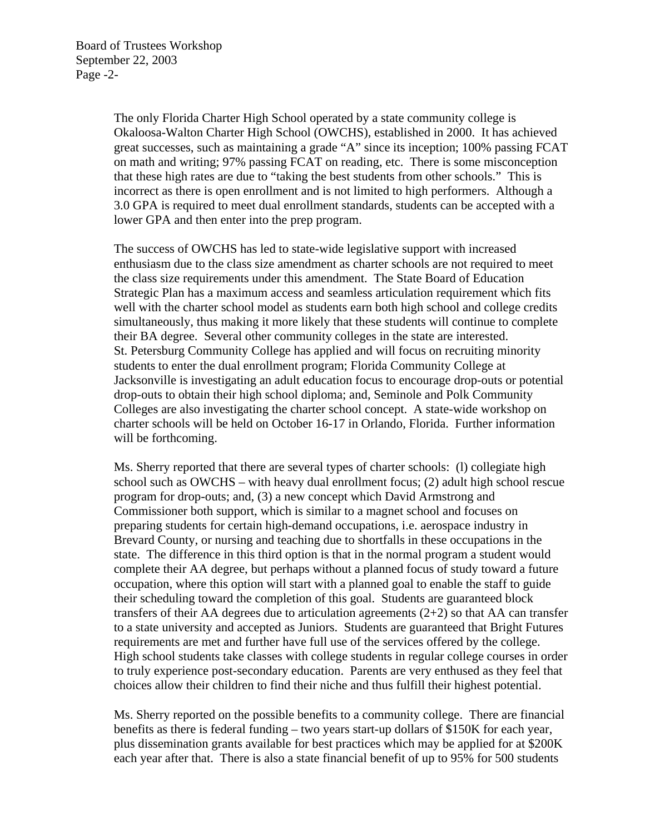The only Florida Charter High School operated by a state community college is Okaloosa-Walton Charter High School (OWCHS), established in 2000. It has achieved great successes, such as maintaining a grade "A" since its inception; 100% passing FCAT on math and writing; 97% passing FCAT on reading, etc. There is some misconception that these high rates are due to "taking the best students from other schools." This is incorrect as there is open enrollment and is not limited to high performers. Although a 3.0 GPA is required to meet dual enrollment standards, students can be accepted with a lower GPA and then enter into the prep program.

The success of OWCHS has led to state-wide legislative support with increased enthusiasm due to the class size amendment as charter schools are not required to meet the class size requirements under this amendment. The State Board of Education Strategic Plan has a maximum access and seamless articulation requirement which fits well with the charter school model as students earn both high school and college credits simultaneously, thus making it more likely that these students will continue to complete their BA degree. Several other community colleges in the state are interested. St. Petersburg Community College has applied and will focus on recruiting minority students to enter the dual enrollment program; Florida Community College at Jacksonville is investigating an adult education focus to encourage drop-outs or potential drop-outs to obtain their high school diploma; and, Seminole and Polk Community Colleges are also investigating the charter school concept. A state-wide workshop on charter schools will be held on October 16-17 in Orlando, Florida. Further information will be forthcoming.

Ms. Sherry reported that there are several types of charter schools: (l) collegiate high school such as OWCHS – with heavy dual enrollment focus; (2) adult high school rescue program for drop-outs; and, (3) a new concept which David Armstrong and Commissioner both support, which is similar to a magnet school and focuses on preparing students for certain high-demand occupations, i.e. aerospace industry in Brevard County, or nursing and teaching due to shortfalls in these occupations in the state. The difference in this third option is that in the normal program a student would complete their AA degree, but perhaps without a planned focus of study toward a future occupation, where this option will start with a planned goal to enable the staff to guide their scheduling toward the completion of this goal. Students are guaranteed block transfers of their AA degrees due to articulation agreements  $(2+2)$  so that AA can transfer to a state university and accepted as Juniors. Students are guaranteed that Bright Futures requirements are met and further have full use of the services offered by the college. High school students take classes with college students in regular college courses in order to truly experience post-secondary education. Parents are very enthused as they feel that choices allow their children to find their niche and thus fulfill their highest potential.

Ms. Sherry reported on the possible benefits to a community college. There are financial benefits as there is federal funding – two years start-up dollars of \$150K for each year, plus dissemination grants available for best practices which may be applied for at \$200K each year after that. There is also a state financial benefit of up to 95% for 500 students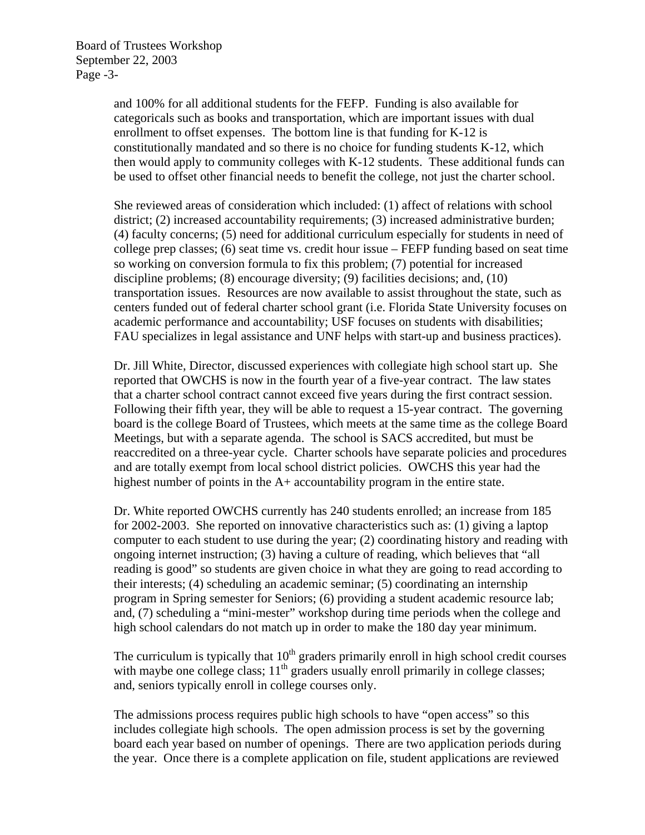Board of Trustees Workshop September 22, 2003 Page -3-

> and 100% for all additional students for the FEFP. Funding is also available for categoricals such as books and transportation, which are important issues with dual enrollment to offset expenses. The bottom line is that funding for K-12 is constitutionally mandated and so there is no choice for funding students K-12, which then would apply to community colleges with K-12 students. These additional funds can be used to offset other financial needs to benefit the college, not just the charter school.

> She reviewed areas of consideration which included: (1) affect of relations with school district; (2) increased accountability requirements; (3) increased administrative burden; (4) faculty concerns; (5) need for additional curriculum especially for students in need of college prep classes; (6) seat time vs. credit hour issue – FEFP funding based on seat time so working on conversion formula to fix this problem; (7) potential for increased discipline problems; (8) encourage diversity; (9) facilities decisions; and, (10) transportation issues. Resources are now available to assist throughout the state, such as centers funded out of federal charter school grant (i.e. Florida State University focuses on academic performance and accountability; USF focuses on students with disabilities; FAU specializes in legal assistance and UNF helps with start-up and business practices).

> Dr. Jill White, Director, discussed experiences with collegiate high school start up. She reported that OWCHS is now in the fourth year of a five-year contract. The law states that a charter school contract cannot exceed five years during the first contract session. Following their fifth year, they will be able to request a 15-year contract. The governing board is the college Board of Trustees, which meets at the same time as the college Board Meetings, but with a separate agenda. The school is SACS accredited, but must be reaccredited on a three-year cycle. Charter schools have separate policies and procedures and are totally exempt from local school district policies. OWCHS this year had the highest number of points in the A+ accountability program in the entire state.

> Dr. White reported OWCHS currently has 240 students enrolled; an increase from 185 for 2002-2003. She reported on innovative characteristics such as: (1) giving a laptop computer to each student to use during the year; (2) coordinating history and reading with ongoing internet instruction; (3) having a culture of reading, which believes that "all reading is good" so students are given choice in what they are going to read according to their interests; (4) scheduling an academic seminar; (5) coordinating an internship program in Spring semester for Seniors; (6) providing a student academic resource lab; and, (7) scheduling a "mini-mester" workshop during time periods when the college and high school calendars do not match up in order to make the 180 day year minimum.

> The curriculum is typically that  $10<sup>th</sup>$  graders primarily enroll in high school credit courses with maybe one college class;  $11<sup>th</sup>$  graders usually enroll primarily in college classes; and, seniors typically enroll in college courses only.

The admissions process requires public high schools to have "open access" so this includes collegiate high schools. The open admission process is set by the governing board each year based on number of openings. There are two application periods during the year. Once there is a complete application on file, student applications are reviewed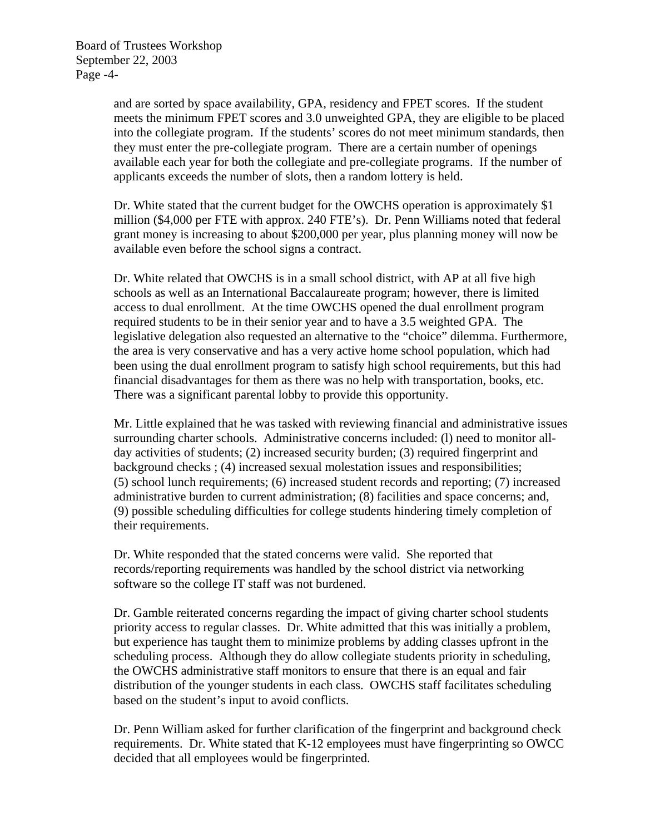and are sorted by space availability, GPA, residency and FPET scores. If the student meets the minimum FPET scores and 3.0 unweighted GPA, they are eligible to be placed into the collegiate program. If the students' scores do not meet minimum standards, then they must enter the pre-collegiate program. There are a certain number of openings available each year for both the collegiate and pre-collegiate programs. If the number of applicants exceeds the number of slots, then a random lottery is held.

Dr. White stated that the current budget for the OWCHS operation is approximately \$1 million (\$4,000 per FTE with approx. 240 FTE's). Dr. Penn Williams noted that federal grant money is increasing to about \$200,000 per year, plus planning money will now be available even before the school signs a contract.

Dr. White related that OWCHS is in a small school district, with AP at all five high schools as well as an International Baccalaureate program; however, there is limited access to dual enrollment. At the time OWCHS opened the dual enrollment program required students to be in their senior year and to have a 3.5 weighted GPA. The legislative delegation also requested an alternative to the "choice" dilemma. Furthermore, the area is very conservative and has a very active home school population, which had been using the dual enrollment program to satisfy high school requirements, but this had financial disadvantages for them as there was no help with transportation, books, etc. There was a significant parental lobby to provide this opportunity.

Mr. Little explained that he was tasked with reviewing financial and administrative issues surrounding charter schools. Administrative concerns included: (l) need to monitor allday activities of students; (2) increased security burden; (3) required fingerprint and background checks ; (4) increased sexual molestation issues and responsibilities; (5) school lunch requirements; (6) increased student records and reporting; (7) increased administrative burden to current administration; (8) facilities and space concerns; and, (9) possible scheduling difficulties for college students hindering timely completion of their requirements.

Dr. White responded that the stated concerns were valid. She reported that records/reporting requirements was handled by the school district via networking software so the college IT staff was not burdened.

Dr. Gamble reiterated concerns regarding the impact of giving charter school students priority access to regular classes. Dr. White admitted that this was initially a problem, but experience has taught them to minimize problems by adding classes upfront in the scheduling process. Although they do allow collegiate students priority in scheduling, the OWCHS administrative staff monitors to ensure that there is an equal and fair distribution of the younger students in each class. OWCHS staff facilitates scheduling based on the student's input to avoid conflicts.

Dr. Penn William asked for further clarification of the fingerprint and background check requirements. Dr. White stated that K-12 employees must have fingerprinting so OWCC decided that all employees would be fingerprinted.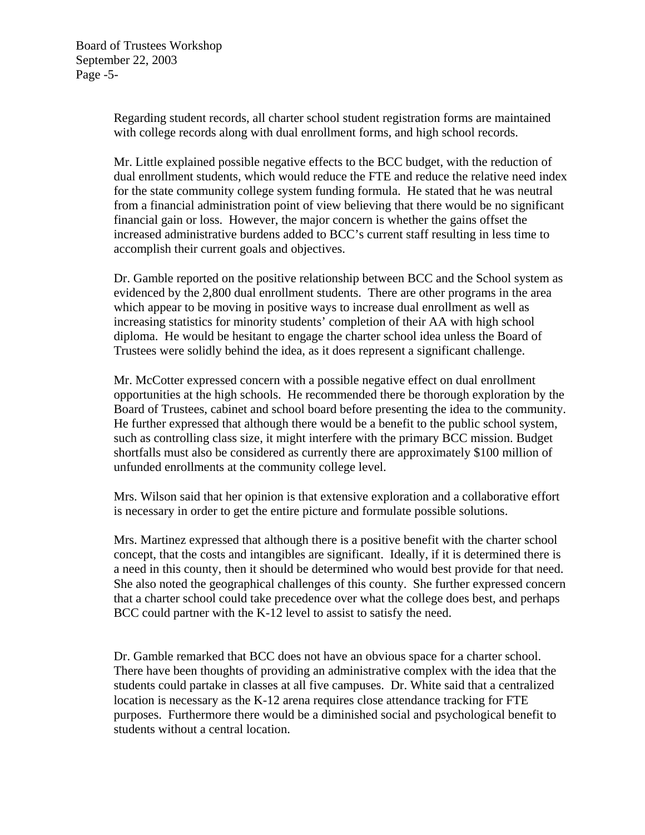Regarding student records, all charter school student registration forms are maintained with college records along with dual enrollment forms, and high school records.

Mr. Little explained possible negative effects to the BCC budget, with the reduction of dual enrollment students, which would reduce the FTE and reduce the relative need index for the state community college system funding formula. He stated that he was neutral from a financial administration point of view believing that there would be no significant financial gain or loss. However, the major concern is whether the gains offset the increased administrative burdens added to BCC's current staff resulting in less time to accomplish their current goals and objectives.

Dr. Gamble reported on the positive relationship between BCC and the School system as evidenced by the 2,800 dual enrollment students. There are other programs in the area which appear to be moving in positive ways to increase dual enrollment as well as increasing statistics for minority students' completion of their AA with high school diploma. He would be hesitant to engage the charter school idea unless the Board of Trustees were solidly behind the idea, as it does represent a significant challenge.

Mr. McCotter expressed concern with a possible negative effect on dual enrollment opportunities at the high schools. He recommended there be thorough exploration by the Board of Trustees, cabinet and school board before presenting the idea to the community. He further expressed that although there would be a benefit to the public school system, such as controlling class size, it might interfere with the primary BCC mission. Budget shortfalls must also be considered as currently there are approximately \$100 million of unfunded enrollments at the community college level.

Mrs. Wilson said that her opinion is that extensive exploration and a collaborative effort is necessary in order to get the entire picture and formulate possible solutions.

Mrs. Martinez expressed that although there is a positive benefit with the charter school concept, that the costs and intangibles are significant. Ideally, if it is determined there is a need in this county, then it should be determined who would best provide for that need. She also noted the geographical challenges of this county. She further expressed concern that a charter school could take precedence over what the college does best, and perhaps BCC could partner with the K-12 level to assist to satisfy the need.

Dr. Gamble remarked that BCC does not have an obvious space for a charter school. There have been thoughts of providing an administrative complex with the idea that the students could partake in classes at all five campuses. Dr. White said that a centralized location is necessary as the K-12 arena requires close attendance tracking for FTE purposes. Furthermore there would be a diminished social and psychological benefit to students without a central location.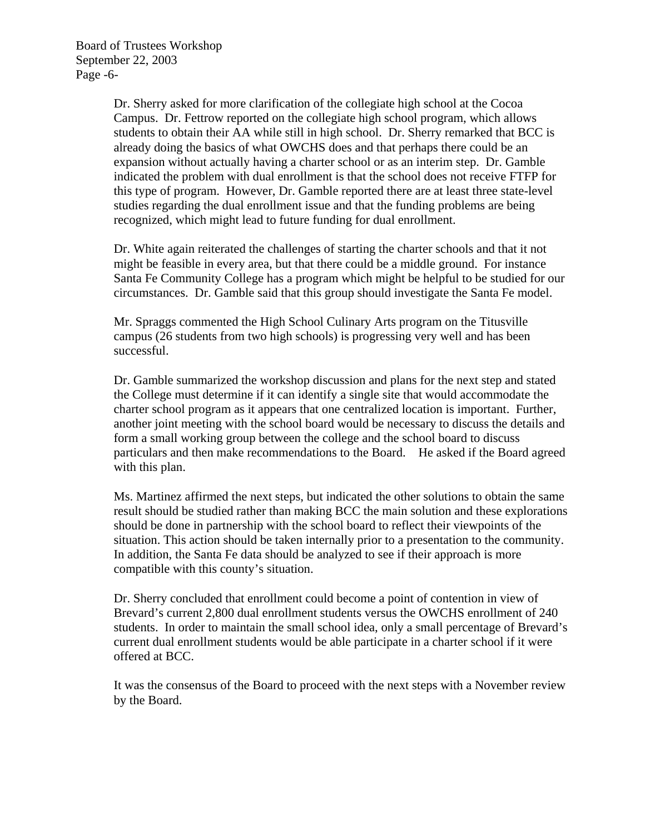Board of Trustees Workshop September 22, 2003 Page -6-

> Dr. Sherry asked for more clarification of the collegiate high school at the Cocoa Campus. Dr. Fettrow reported on the collegiate high school program, which allows students to obtain their AA while still in high school. Dr. Sherry remarked that BCC is already doing the basics of what OWCHS does and that perhaps there could be an expansion without actually having a charter school or as an interim step. Dr. Gamble indicated the problem with dual enrollment is that the school does not receive FTFP for this type of program. However, Dr. Gamble reported there are at least three state-level studies regarding the dual enrollment issue and that the funding problems are being recognized, which might lead to future funding for dual enrollment.

Dr. White again reiterated the challenges of starting the charter schools and that it not might be feasible in every area, but that there could be a middle ground. For instance Santa Fe Community College has a program which might be helpful to be studied for our circumstances. Dr. Gamble said that this group should investigate the Santa Fe model.

Mr. Spraggs commented the High School Culinary Arts program on the Titusville campus (26 students from two high schools) is progressing very well and has been successful.

Dr. Gamble summarized the workshop discussion and plans for the next step and stated the College must determine if it can identify a single site that would accommodate the charter school program as it appears that one centralized location is important. Further, another joint meeting with the school board would be necessary to discuss the details and form a small working group between the college and the school board to discuss particulars and then make recommendations to the Board. He asked if the Board agreed with this plan.

Ms. Martinez affirmed the next steps, but indicated the other solutions to obtain the same result should be studied rather than making BCC the main solution and these explorations should be done in partnership with the school board to reflect their viewpoints of the situation. This action should be taken internally prior to a presentation to the community. In addition, the Santa Fe data should be analyzed to see if their approach is more compatible with this county's situation.

Dr. Sherry concluded that enrollment could become a point of contention in view of Brevard's current 2,800 dual enrollment students versus the OWCHS enrollment of 240 students. In order to maintain the small school idea, only a small percentage of Brevard's current dual enrollment students would be able participate in a charter school if it were offered at BCC.

It was the consensus of the Board to proceed with the next steps with a November review by the Board.